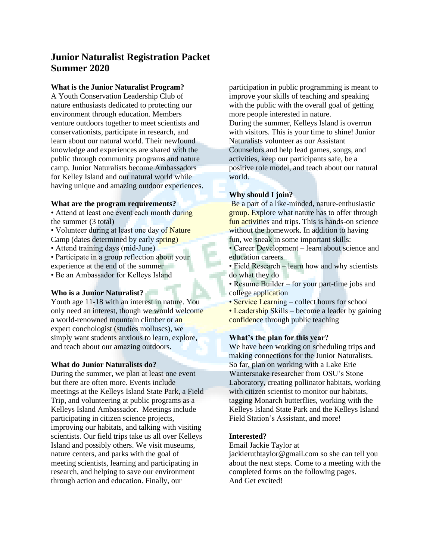# **Junior Naturalist Registration Packet Summer 2020**

### **What is the Junior Naturalist Program?**

A Youth Conservation Leadership Club of nature enthusiasts dedicated to protecting our environment through education. Members venture outdoors together to meet scientists and conservationists, participate in research, and learn about our natural world. Their newfound knowledge and experiences are shared with the public through community programs and nature camp. Junior Naturalists become Ambassadors for Kelley Island and our natural world while having unique and amazing outdoor experiences.

### **What are the program requirements?**

- Attend at least one event each month during the summer (3 total)
- Volunteer during at least one day of Nature Camp (dates determined by early spring)
- Attend training days (mid-June)
- Participate in a group reflection about your experience at the end of the summer
- Be an Ambassador for Kelleys Island

### **Who is a Junior Naturalist?**

Youth age 11-18 with an interest in nature. You only need an interest, though we would welcome a world-renowned mountain climber or an expert conchologist (studies molluscs), we simply want students anxious to learn, explore, and teach about our amazing outdoors.

### **What do Junior Naturalists do?**

During the summer, we plan at least one event but there are often more. Events include meetings at the Kelleys Island State Park, a Field Trip, and volunteering at public programs as a Kelleys Island Ambassador. Meetings include participating in citizen science projects, improving our habitats, and talking with visiting scientists. Our field trips take us all over Kelleys Island and possibly others. We visit museums, nature centers, and parks with the goal of meeting scientists, learning and participating in research, and helping to save our environment through action and education. Finally, our

participation in public programming is meant to improve your skills of teaching and speaking with the public with the overall goal of getting more people interested in nature. During the summer, Kelleys Island is overrun with visitors. This is your time to shine! Junior Naturalists volunteer as our Assistant Counselors and help lead games, songs, and activities, keep our participants safe, be a positive role model, and teach about our natural world.

### **Why should I join?**

Be a part of a like-minded, nature-enthusiastic group. Explore what nature has to offer through fun activities and trips. This is hands-on science without the homework. In addition to having fun, we sneak in some important skills:

• Career Development – learn about science and education careers

- Field Research learn how and why scientists do what they do
- Resume Builder for your part-time jobs and college application
- Service Learning collect hours for school
- Leadership Skills become a leader by gaining confidence through public teaching

### **What's the plan for this year?**

We have been working on scheduling trips and making connections for the Junior Naturalists. So far, plan on working with a Lake Erie Wantersnake researcher from OSU's Stone Laboratory, creating pollinator habitats, working with citizen scientist to monitor our habitats, tagging Monarch butterflies, working with the Kelleys Island State Park and the Kelleys Island Field Station's Assistant, and more!

### **Interested?**

Email Jackie Taylor at

jackieruthtaylor@gmail.com so she can tell you about the next steps. Come to a meeting with the completed forms on the following pages. And Get excited!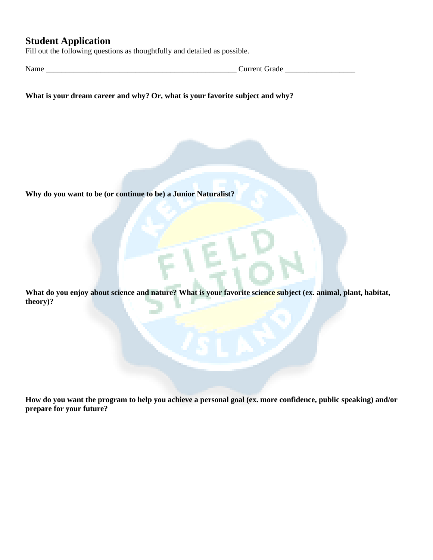# **Student Application**

Fill out the following questions as thoughtfully and detailed as possible.

Name \_\_\_\_\_\_\_\_\_\_\_\_\_\_\_\_\_\_\_\_\_\_\_\_\_\_\_\_\_\_\_\_\_\_\_\_\_\_\_\_\_\_\_\_\_\_\_\_\_ Current Grade \_\_\_\_\_\_\_\_\_\_\_\_\_\_\_\_\_\_

**What is your dream career and why? Or, what is your favorite subject and why?** 

**Why do you want to be (or continue to be) a Junior Naturalist?** 

What do you enjoy about science and nature? What is your favorite science subject (ex. animal, plant, habitat, **theory)?** 

**How do you want the program to help you achieve a personal goal (ex. more confidence, public speaking) and/or prepare for your future?**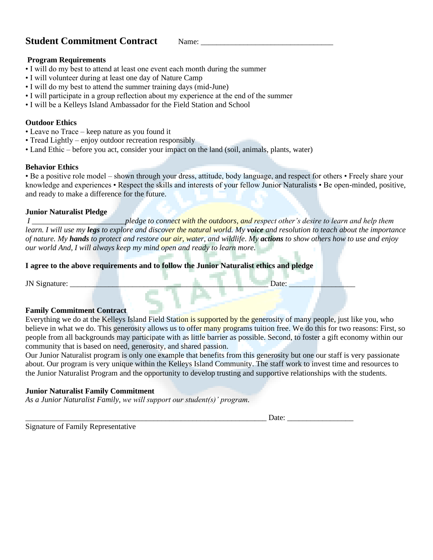# **Student Commitment Contract**  Name:

### **Program Requirements**

- I will do my best to attend at least one event each month during the summer
- I will volunteer during at least one day of Nature Camp
- I will do my best to attend the summer training days (mid-June)
- I will participate in a group reflection about my experience at the end of the summer
- I will be a Kelleys Island Ambassador for the Field Station and School

### **Outdoor Ethics**

- Leave no Trace keep nature as you found it
- Tread Lightly enjoy outdoor recreation responsibly
- Land Ethic before you act, consider your impact on the land (soil, animals, plants, water)

### **Behavior Ethics**

• Be a positive role model – shown through your dress, attitude, body language, and respect for others • Freely share your knowledge and experiences • Respect the skills and interests of your fellow Junior Naturalists • Be open-minded, positive, and ready to make a difference for the future.

### **Junior Naturalist Pledge**

*I \_\_\_\_\_\_\_\_\_\_\_\_\_\_\_\_\_\_\_\_\_\_\_\_pledge to connect with the outdoors, and respect other's desire to learn and help them learn. I will use my legs to explore and discover the natural world. My voice and resolution to teach about the importance of nature. My hands to protect and restore our air, water, and wildlife. My actions to show others how to use and enjoy our world And, I will always keep my mind open and ready to learn more.*

### **I agree to the above requirements and to follow the Junior Naturalist ethics and pledge**

JN Signature: \_\_\_\_\_\_\_\_\_\_\_\_\_\_\_\_\_\_\_\_\_\_\_\_\_\_\_\_\_\_\_\_\_\_\_\_\_\_\_\_\_\_\_\_\_\_\_\_\_\_\_ Date: \_\_\_\_\_\_\_\_\_\_\_\_\_\_\_\_\_

### **Family Commitment Contract**

Everything we do at the Kelleys Island Field Station is supported by the generosity of many people, just like you, who believe in what we do. This generosity allows us to offer many programs tuition free. We do this for two reasons: First, so people from all backgrounds may participate with as little barrier as possible. Second, to foster a gift economy within our community that is based on need, generosity, and shared passion.

Our Junior Naturalist program is only one example that benefits from this generosity but one our staff is very passionate about. Our program is very unique within the Kelleys Island Community. The staff work to invest time and resources to the Junior Naturalist Program and the opportunity to develop trusting and supportive relationships with the students.

### **Junior Naturalist Family Commitment**

*As a Junior Naturalist Family, we will support our student(s)' program.*

\_\_\_\_\_\_\_\_\_\_\_\_\_\_\_\_\_\_\_\_\_\_\_\_\_\_\_\_\_\_\_\_\_\_\_\_\_\_\_\_\_\_\_\_\_\_\_\_\_\_\_\_\_\_\_\_\_\_\_\_\_\_ Date: \_\_\_\_\_\_\_\_\_\_\_\_\_\_\_\_\_

Signature of Family Representative